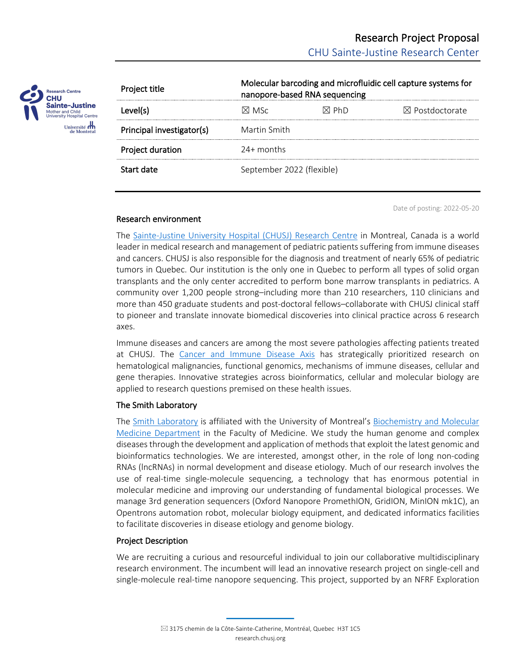

| Project title             | Molecular barcoding and microfluidic cell capture systems for<br>nanopore-based RNA sequencing |       |                           |
|---------------------------|------------------------------------------------------------------------------------------------|-------|---------------------------|
| Level(s)                  | M MSc                                                                                          | ⊠ Ph∩ | $\boxtimes$ Postdoctorate |
| Principal investigator(s) | Martin Smith                                                                                   |       |                           |
| Project duration          | $24+$ months                                                                                   |       |                           |
| Start date                | September 2022 (flexible)                                                                      |       |                           |

### Research environment

Date of posting: 2022-05-20

The Sainte-Justine University Hospital (CHUSJ) Research Centre in Montreal, Canada is a world leader in medical research and management of pediatric patients suffering from immune diseases and cancers. CHUSJ is also responsible for the diagnosis and treatment of nearly 65% of pediatric tumors in Quebec. Our institution is the only one in Quebec to perform all types of solid organ transplants and the only center accredited to perform bone marrow transplants in pediatrics. A community over 1,200 people strong–including more than 210 researchers, 110 clinicians and more than 450 graduate students and post-doctoral fellows–collaborate with CHUSJ clinical staff to pioneer and translate innovate biomedical discoveries into clinical practice across 6 research axes.

Immune diseases and cancers are among the most severe pathologies affecting patients treated at CHUSJ. The Cancer and Immune Disease Axis has strategically prioritized research on hematological malignancies, functional genomics, mechanisms of immune diseases, cellular and gene therapies. Innovative strategies across bioinformatics, cellular and molecular biology are applied to research questions premised on these health issues.

# The Smith Laboratory

The Smith Laboratory is affiliated with the University of Montreal's Biochemistry and Molecular Medicine Department in the Faculty of Medicine. We study the human genome and complex diseases through the development and application of methods that exploit the latest genomic and bioinformatics technologies. We are interested, amongst other, in the role of long non-coding RNAs (lncRNAs) in normal development and disease etiology. Much of our research involves the use of real-time single-molecule sequencing, a technology that has enormous potential in molecular medicine and improving our understanding of fundamental biological processes. We manage 3rd generation sequencers (Oxford Nanopore PromethION, GridION, MinION mk1C), an Opentrons automation robot, molecular biology equipment, and dedicated informatics facilities to facilitate discoveries in disease etiology and genome biology.

# Project Description

We are recruiting a curious and resourceful individual to join our collaborative multidisciplinary research environment. The incumbent will lead an innovative research project on single-cell and single-molecule real-time nanopore sequencing. This project, supported by an NFRF Exploration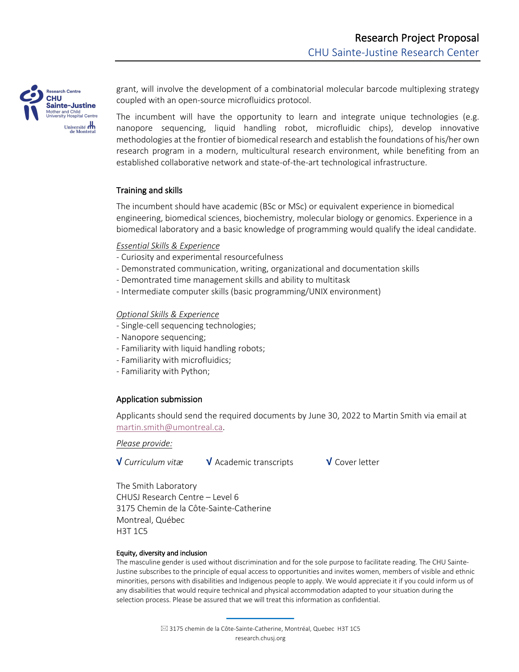

grant, will involve the development of a combinatorial molecular barcode multiplexing strategy coupled with an open-source microfluidics protocol.

The incumbent will have the opportunity to learn and integrate unique technologies (e.g. nanopore sequencing, liquid handling robot, microfluidic chips), develop innovative methodologies at the frontier of biomedical research and establish the foundations of his/her own research program in a modern, multicultural research environment, while benefiting from an established collaborative network and state-of-the-art technological infrastructure.

## Training and skills

The incumbent should have academic (BSc or MSc) or equivalent experience in biomedical engineering, biomedical sciences, biochemistry, molecular biology or genomics. Experience in a biomedical laboratory and a basic knowledge of programming would qualify the ideal candidate.

## *Essential Skills & Experience*

- Curiosity and experimental resourcefulness
- Demonstrated communication, writing, organizational and documentation skills
- Demontrated time management skills and ability to multitask
- Intermediate computer skills (basic programming/UNIX environment)

### *Optional Skills & Experience*

- Single-cell sequencing technologies;
- Nanopore sequencing;
- Familiarity with liquid handling robots;
- Familiarity with microfluidics;
- Familiarity with Python;

# Application submission

Applicants should send the required documents by June 30, 2022 to Martin Smith via email at martin.smith@umontreal.ca.

*Please provide:*

√ *Curriculum vitæ* √ Academic transcripts √ Cover letter

The Smith Laboratory CHUSJ Research Centre – Level 6 3175 Chemin de la Côte-Sainte-Catherine Montreal, Québec H3T 1C5

#### Equity, diversity and inclusion

The masculine gender is used without discrimination and for the sole purpose to facilitate reading. The CHU Sainte-Justine subscribes to the principle of equal access to opportunities and invites women, members of visible and ethnic minorities, persons with disabilities and Indigenous people to apply. We would appreciate it if you could inform us of any disabilities that would require technical and physical accommodation adapted to your situation during the selection process. Please be assured that we will treat this information as confidential.